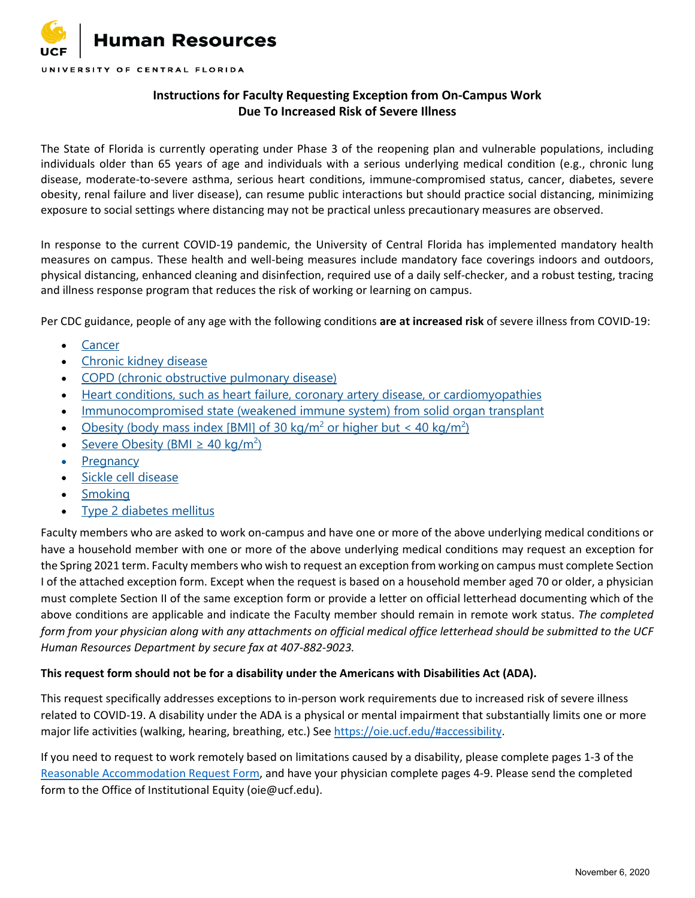

## **Instructions for Faculty Requesting Exception from On-Campus Work Due To Increased Risk of Severe Illness**

The State of Florida is currently operating under Phase 3 of the reopening plan and vulnerable populations, including individuals older than 65 years of age and individuals with a serious underlying medical condition (e.g., chronic lung disease, moderate-to-severe asthma, serious heart conditions, immune-compromised status, cancer, diabetes, severe obesity, renal failure and liver disease), can resume public interactions but should practice social distancing, minimizing exposure to social settings where distancing may not be practical unless precautionary measures are observed.

In response to the current COVID-19 pandemic, the University of Central Florida has implemented mandatory health measures on campus. These health and well-being measures include mandatory face coverings indoors and outdoors, physical distancing, enhanced cleaning and disinfection, required use of a daily self-checker, and a robust testing, tracing and illness response program that reduces the risk of working or learning on campus.

Per CDC guidance, people of any age with the following conditions **are at increased risk** of severe illness from COVID-19:

- [Cancer](https://www.cdc.gov/coronavirus/2019-ncov/need-extra-precautions/people-with-medical-conditions.html?CDC_AA_refVal=https%3A%2F%2Fwww.cdc.gov%2Fcoronavirus%2F2019-ncov%2Fneed-extra-precautions%2Fgroups-at-higher-risk.html#cancer)
- [Chronic kidney disease](https://www.cdc.gov/coronavirus/2019-ncov/need-extra-precautions/people-with-medical-conditions.html?CDC_AA_refVal=https%3A%2F%2Fwww.cdc.gov%2Fcoronavirus%2F2019-ncov%2Fneed-extra-precautions%2Fgroups-at-higher-risk.html#chronic-kidney-disease)
- [COPD \(chronic obstructive pulmonary disease\)](https://www.cdc.gov/coronavirus/2019-ncov/need-extra-precautions/people-with-medical-conditions.html#copd)
- [Heart conditions, such as heart failure, coronary artery disease, or cardiomyopathies](https://www.cdc.gov/coronavirus/2019-ncov/need-extra-precautions/people-with-medical-conditions.html?CDC_AA_refVal=https%3A%2F%2Fwww.cdc.gov%2Fcoronavirus%2F2019-ncov%2Fneed-extra-precautions%2Fgroups-at-higher-risk.html#copd)
- [Immunocompromised state \(weakened immune system\) from solid organ transplant](https://www.cdc.gov/coronavirus/2019-ncov/need-extra-precautions/people-with-medical-conditions.html?CDC_AA_refVal=https%3A%2F%2Fwww.cdc.gov%2Fcoronavirus%2F2019-ncov%2Fneed-extra-precautions%2Fgroups-at-higher-risk.html#immunocompromised-state)
- [Obesity \(body mass index \[BMI\] of 30 kg/m](https://www.cdc.gov/coronavirus/2019-ncov/need-extra-precautions/people-with-medical-conditions.html?CDC_AA_refVal=https%3A%2F%2Fwww.cdc.gov%2Fcoronavirus%2F2019-ncov%2Fneed-extra-precautions%2Fgroups-at-higher-risk.html#obesity)<sup>2</sup> or higher but < 40 kg/m<sup>2</sup>)
- Severe Obesity (BMI  $\geq$  40 kg/m<sup>2</sup>)
- [Pregnancy](https://www.cdc.gov/coronavirus/2019-ncov/need-extra-precautions/people-with-medical-conditions.html#pregnancy)
- [Sickle cell disease](https://www.cdc.gov/coronavirus/2019-ncov/need-extra-precautions/people-with-medical-conditions.html?CDC_AA_refVal=https%3A%2F%2Fwww.cdc.gov%2Fcoronavirus%2F2019-ncov%2Fneed-extra-precautions%2Fgroups-at-higher-risk.html#hemoglobin-disorders)
- [Smoking](https://www.cdc.gov/coronavirus/2019-ncov/need-extra-precautions/people-with-medical-conditions.html?CDC_AA_refVal=https%3A%2F%2Fwww.cdc.gov%2Fcoronavirus%2F2019-ncov%2Fneed-extra-precautions%2Fgroups-at-higher-risk.html#smoking)
- [Type 2 diabetes mellitus](https://www.cdc.gov/coronavirus/2019-ncov/need-extra-precautions/people-with-medical-conditions.html?CDC_AA_refVal=https%3A%2F%2Fwww.cdc.gov%2Fcoronavirus%2F2019-ncov%2Fneed-extra-precautions%2Fgroups-at-higher-risk.html#diabetes)

Faculty members who are asked to work on-campus and have one or more of the above underlying medical conditions or have a household member with one or more of the above underlying medical conditions may request an exception for the Spring 2021 term. Faculty members who wish to request an exception from working on campus must complete Section I of the attached exception form. Except when the request is based on a household member aged 70 or older, a physician must complete Section II of the same exception form or provide a letter on official letterhead documenting which of the above conditions are applicable and indicate the Faculty member should remain in remote work status. *The completed form from your physician along with any attachments on official medical office letterhead should be submitted to the UCF Human Resources Department by secure fax at 407-882-9023.* 

## **This request form should not be for a disability under the Americans with Disabilities Act (ADA).**

This request specifically addresses exceptions to in-person work requirements due to increased risk of severe illness related to COVID-19. A disability under the ADA is a physical or mental impairment that substantially limits one or more major life activities (walking, hearing, breathing, etc.) See [https://oie.ucf.edu/#accessibility.](https://nam02.safelinks.protection.outlook.com/?url=https%3A%2F%2Foie.ucf.edu%2F%23accessibility&data=02%7C01%7CRhonda.Bishop%40ucf.edu%7C56e5a58521774cdbc51408d86a416e90%7Cbb932f15ef3842ba91fcf3c59d5dd1f1%7C0%7C0%7C637376176562431678&sdata=9Teo%2B0djm7HmwhY5mdsj73b8UsXZhCgdk328wH10eaY%3D&reserved=0)

If you need to request to work remotely based on limitations caused by a disability, please complete pages 1-3 of the [Reasonable Accommodation Request Form,](https://oie.ucf.edu/documents/UCFReasonableAccomodationRequestForm.pdf) and have your physician complete pages 4-9. Please send the completed form to the Office of Institutional Equity (oie@ucf.edu).